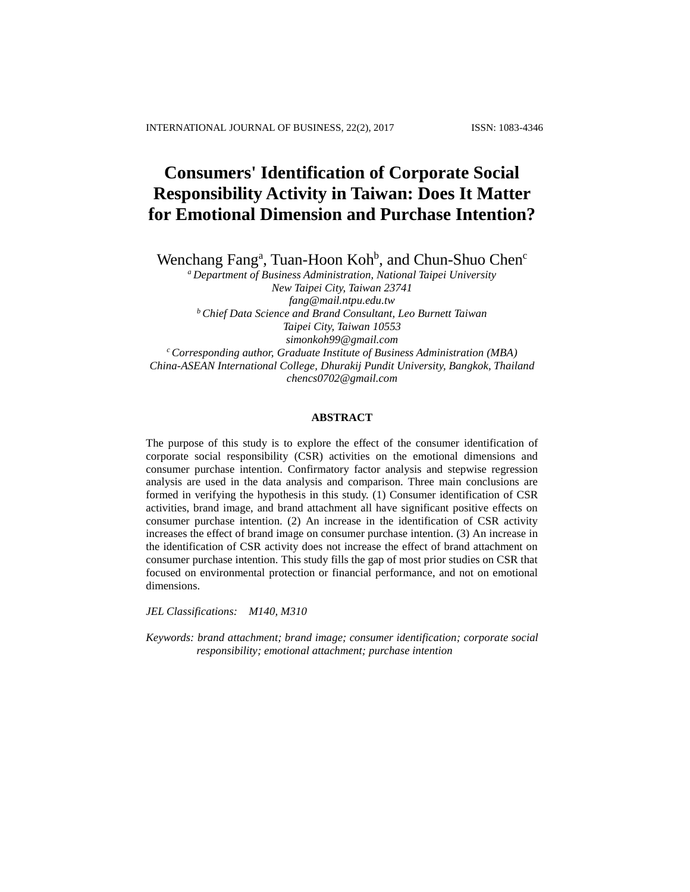# **Consumers' Identification of Corporate Social Responsibility Activity in Taiwan: Does It Matter for Emotional Dimension and Purchase Intention?**

Wenchang Fang<sup>a</sup>, Tuan-Hoon Koh<sup>b</sup>, and Chun-Shuo Chen<sup>c</sup>

*<sup>a</sup> Department of Business Administration, National Taipei University New Taipei City, Taiwan 23741 [fang@mail.ntpu.edu.tw](mailto:fang@mail.ntpu.edu.tw) <sup>b</sup> Chief Data Science and Brand Consultant, Leo Burnett Taiwan Taipei City, Taiwan 10553 simonkoh99@gmail.com <sup>c</sup> Corresponding author, Graduate Institute of Business Administration (MBA) China-ASEAN International College, Dhurakij Pundit University, Bangkok, Thailand chencs0702@gmail.com*

#### **ABSTRACT**

The purpose of this study is to explore the effect of the consumer identification of corporate social responsibility (CSR) activities on the emotional dimensions and consumer purchase intention. Confirmatory factor analysis and stepwise regression analysis are used in the data analysis and comparison. Three main conclusions are formed in verifying the hypothesis in this study. (1) Consumer identification of CSR activities, brand image, and brand attachment all have significant positive effects on consumer purchase intention. (2) An increase in the identification of CSR activity increases the effect of brand image on consumer purchase intention. (3) An increase in the identification of CSR activity does not increase the effect of brand attachment on consumer purchase intention. This study fills the gap of most prior studies on CSR that focused on environmental protection or financial performance, and not on emotional dimensions.

*JEL Classifications: M140, M310*

*Keywords: brand attachment; brand image; consumer identification; corporate social responsibility; emotional attachment; purchase intention*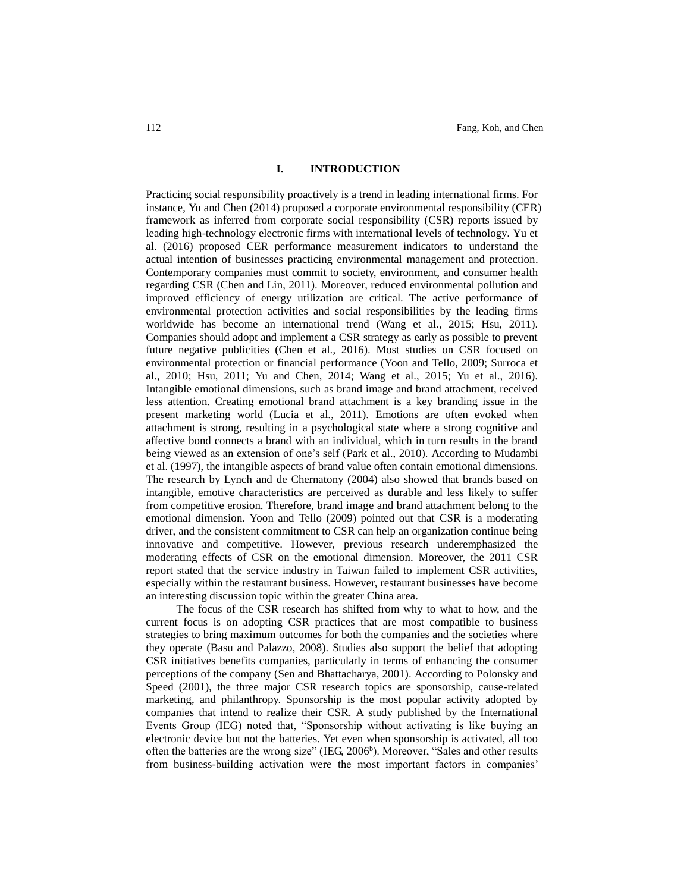## **I. INTRODUCTION**

Practicing social responsibility proactively is a trend in leading international firms. For instance, Yu and Chen (2014) proposed a corporate environmental responsibility (CER) framework as inferred from corporate social responsibility (CSR) reports issued by leading high-technology electronic firms with international levels of technology. Yu et al. (2016) proposed CER performance measurement indicators to understand the actual intention of businesses practicing environmental management and protection. Contemporary companies must commit to society, environment, and consumer health regarding CSR (Chen and Lin, 2011). Moreover, reduced environmental pollution and improved efficiency of energy utilization are critical. The active performance of environmental protection activities and social responsibilities by the leading firms worldwide has become an international trend (Wang et al., 2015; Hsu, 2011). Companies should adopt and implement a CSR strategy as early as possible to prevent future negative publicities (Chen et al., 2016). Most studies on CSR focused on environmental protection or financial performance (Yoon and Tello, 2009; Surroca et al., 2010; Hsu, 2011; Yu and Chen, 2014; Wang et al., 2015; Yu et al., 2016). Intangible emotional dimensions, such as brand image and brand attachment, received less attention. Creating emotional brand attachment is a key branding issue in the present marketing world (Lucia et al., 2011). Emotions are often evoked when attachment is strong, resulting in a psychological state where a strong cognitive and affective bond connects a brand with an individual, which in turn results in the brand being viewed as an extension of one's self (Park et al., 2010). According to Mudambi et al. (1997), the intangible aspects of brand value often contain emotional dimensions. The research by Lynch and de Chernatony (2004) also showed that brands based on intangible, emotive characteristics are perceived as durable and less likely to suffer from competitive erosion. Therefore, brand image and brand attachment belong to the emotional dimension. Yoon and Tello (2009) pointed out that CSR is a moderating driver, and the consistent commitment to CSR can help an organization continue being innovative and competitive. However, previous research underemphasized the moderating effects of CSR on the emotional dimension. Moreover, the 2011 CSR report stated that the service industry in Taiwan failed to implement CSR activities, especially within the restaurant business. However, restaurant businesses have become an interesting discussion topic within the greater China area.

The focus of the CSR research has shifted from why to what to how, and the current focus is on adopting CSR practices that are most compatible to business strategies to bring maximum outcomes for both the companies and the societies where they operate (Basu and Palazzo, 2008). Studies also support the belief that adopting CSR initiatives benefits companies, particularly in terms of enhancing the consumer perceptions of the company (Sen and Bhattacharya, 2001). According to Polonsky and Speed (2001), the three major CSR research topics are sponsorship, cause-related marketing, and philanthropy. Sponsorship is the most popular activity adopted by companies that intend to realize their CSR. A study published by the International Events Group (IEG) noted that, "Sponsorship without activating is like buying an electronic device but not the batteries. Yet even when sponsorship is activated, all too often the batteries are the wrong size" (IEG, 2006<sup>b</sup>). Moreover, "Sales and other results from business-building activation were the most important factors in companies'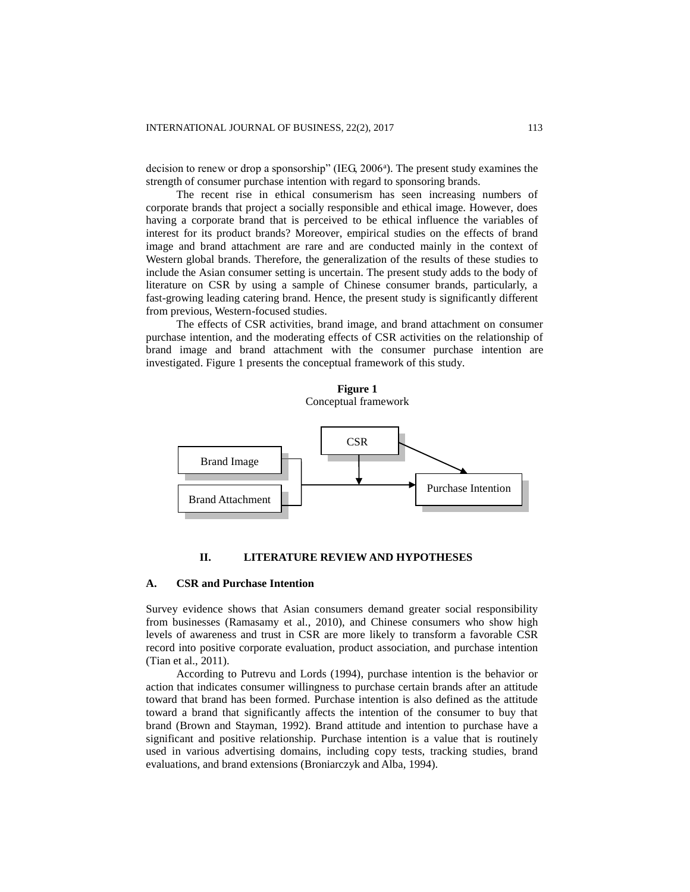decision to renew or drop a sponsorship" (IEG, 2006<sup>a</sup>). The present study examines the strength of consumer purchase intention with regard to sponsoring brands.

The recent rise in ethical consumerism has seen increasing numbers of corporate brands that project a socially responsible and ethical image. However, does having a corporate brand that is perceived to be ethical influence the variables of interest for its product brands? Moreover, empirical studies on the effects of brand image and brand attachment are rare and are conducted mainly in the context of Western global brands. Therefore, the generalization of the results of these studies to include the Asian consumer setting is uncertain. The present study adds to the body of literature on CSR by using a sample of Chinese consumer brands, particularly, a fast-growing leading catering brand. Hence, the present study is significantly different from previous, Western-focused studies.

The effects of CSR activities, brand image, and brand attachment on consumer purchase intention, and the moderating effects of CSR activities on the relationship of brand image and brand attachment with the consumer purchase intention are investigated. Figure 1 presents the conceptual framework of this study.

**Figure 1** Conceptual framework



# **II. LITERATURE REVIEW AND HYPOTHESES**

## **A. CSR and Purchase Intention**

Survey evidence shows that Asian consumers demand greater social responsibility from businesses (Ramasamy et al., 2010), and Chinese consumers who show high levels of awareness and trust in CSR are more likely to transform a favorable CSR record into positive corporate evaluation, product association, and purchase intention (Tian et al., 2011).

According to Putrevu and Lords (1994), purchase intention is the behavior or action that indicates consumer willingness to purchase certain brands after an attitude toward that brand has been formed. Purchase intention is also defined as the attitude toward a brand that significantly affects the intention of the consumer to buy that brand (Brown and Stayman, 1992). Brand attitude and intention to purchase have a significant and positive relationship. Purchase intention is a value that is routinely used in various advertising domains, including copy tests, tracking studies, brand evaluations, and brand extensions (Broniarczyk and Alba, 1994).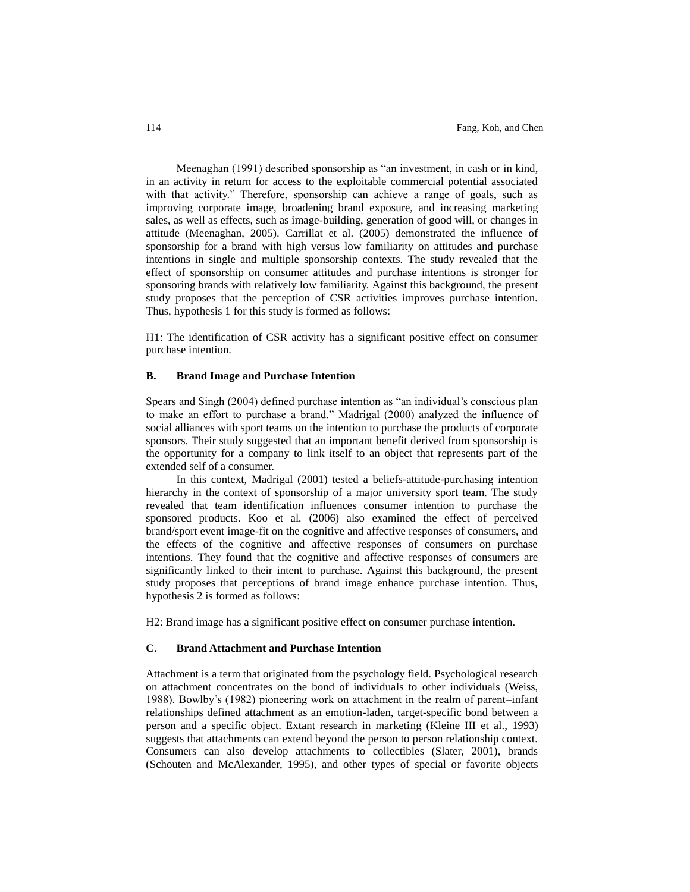Meenaghan (1991) described sponsorship as "an investment, in cash or in kind, in an activity in return for access to the exploitable commercial potential associated with that activity." Therefore, sponsorship can achieve a range of goals, such as improving corporate image, broadening brand exposure, and increasing marketing sales, as well as effects, such as image-building, generation of good will, or changes in attitude (Meenaghan, 2005). Carrillat et al. (2005) demonstrated the influence of sponsorship for a brand with high versus low familiarity on attitudes and purchase intentions in single and multiple sponsorship contexts. The study revealed that the effect of sponsorship on consumer attitudes and purchase intentions is stronger for sponsoring brands with relatively low familiarity. Against this background, the present study proposes that the perception of CSR activities improves purchase intention. Thus, hypothesis 1 for this study is formed as follows:

H1: The identification of CSR activity has a significant positive effect on consumer purchase intention.

#### **B. Brand Image and Purchase Intention**

Spears and Singh (2004) defined purchase intention as "an individual's conscious plan to make an effort to purchase a brand." Madrigal (2000) analyzed the influence of social alliances with sport teams on the intention to purchase the products of corporate sponsors. Their study suggested that an important benefit derived from sponsorship is the opportunity for a company to link itself to an object that represents part of the extended self of a consumer.

In this context, Madrigal (2001) tested a beliefs-attitude-purchasing intention hierarchy in the context of sponsorship of a major university sport team. The study revealed that team identification influences consumer intention to purchase the sponsored products. Koo et al*.* (2006) also examined the effect of perceived brand/sport event image-fit on the cognitive and affective responses of consumers, and the effects of the cognitive and affective responses of consumers on purchase intentions. They found that the cognitive and affective responses of consumers are significantly linked to their intent to purchase. Against this background, the present study proposes that perceptions of brand image enhance purchase intention. Thus, hypothesis 2 is formed as follows:

H2: Brand image has a significant positive effect on consumer purchase intention.

#### **C. Brand Attachment and Purchase Intention**

Attachment is a term that originated from the psychology field. Psychological research on attachment concentrates on the bond of individuals to other individuals (Weiss, 1988). Bowlby's (1982) pioneering work on attachment in the realm of parent–infant relationships defined attachment as an emotion-laden, target-specific bond between a person and a specific object. Extant research in marketing (Kleine III et al., 1993) suggests that attachments can extend beyond the person to person relationship context. Consumers can also develop attachments to collectibles (Slater, 2001), brands (Schouten and McAlexander, 1995), and other types of special or favorite objects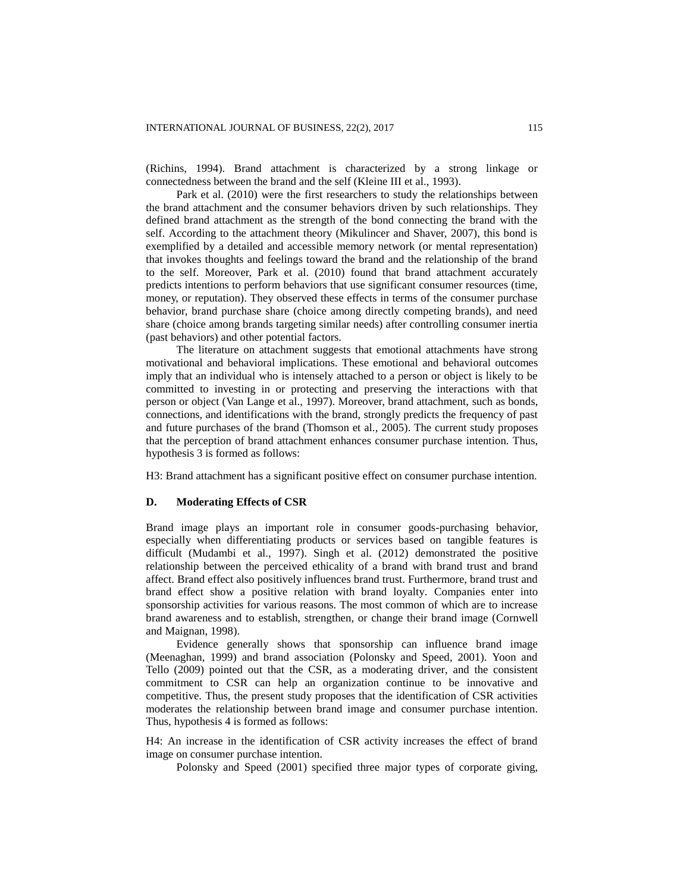(Richins, 1994). Brand attachment is characterized by a strong linkage or connectedness between the brand and the self (Kleine III et al., 1993).

Park et al. (2010) were the first researchers to study the relationships between the brand attachment and the consumer behaviors driven by such relationships. They defined brand attachment as the strength of the bond connecting the brand with the self. According to the attachment theory (Mikulincer and Shaver, 2007), this bond is exemplified by a detailed and accessible memory network (or mental representation) that invokes thoughts and feelings toward the brand and the relationship of the brand to the self. Moreover, Park et al. (2010) found that brand attachment accurately predicts intentions to perform behaviors that use significant consumer resources (time, money, or reputation). They observed these effects in terms of the consumer purchase behavior, brand purchase share (choice among directly competing brands), and need share (choice among brands targeting similar needs) after controlling consumer inertia (past behaviors) and other potential factors.

The literature on attachment suggests that emotional attachments have strong motivational and behavioral implications. These emotional and behavioral outcomes imply that an individual who is intensely attached to a person or object is likely to be committed to investing in or protecting and preserving the interactions with that person or object (Van Lange et al., 1997). Moreover, brand attachment, such as bonds, connections, and identifications with the brand, strongly predicts the frequency of past and future purchases of the brand (Thomson et al., 2005). The current study proposes that the perception of brand attachment enhances consumer purchase intention. Thus, hypothesis 3 is formed as follows:

H3: Brand attachment has a significant positive effect on consumer purchase intention.

# **D. Moderating Effects of CSR**

Brand image plays an important role in consumer goods-purchasing behavior, especially when differentiating products or services based on tangible features is difficult (Mudambi et al., 1997). Singh et al. (2012) demonstrated the positive relationship between the perceived ethicality of a brand with brand trust and brand affect. Brand effect also positively influences brand trust. Furthermore, brand trust and brand effect show a positive relation with brand loyalty. Companies enter into sponsorship activities for various reasons. The most common of which are to increase brand awareness and to establish, strengthen, or change their brand image (Cornwell and Maignan, 1998).

Evidence generally shows that sponsorship can influence brand image (Meenaghan, 1999) and brand association (Polonsky and Speed, 2001). Yoon and Tello (2009) pointed out that the CSR, as a moderating driver, and the consistent commitment to CSR can help an organization continue to be innovative and competitive. Thus, the present study proposes that the identification of CSR activities moderates the relationship between brand image and consumer purchase intention. Thus, hypothesis 4 is formed as follows:

H4: An increase in the identification of CSR activity increases the effect of brand image on consumer purchase intention.

Polonsky and Speed (2001) specified three major types of corporate giving,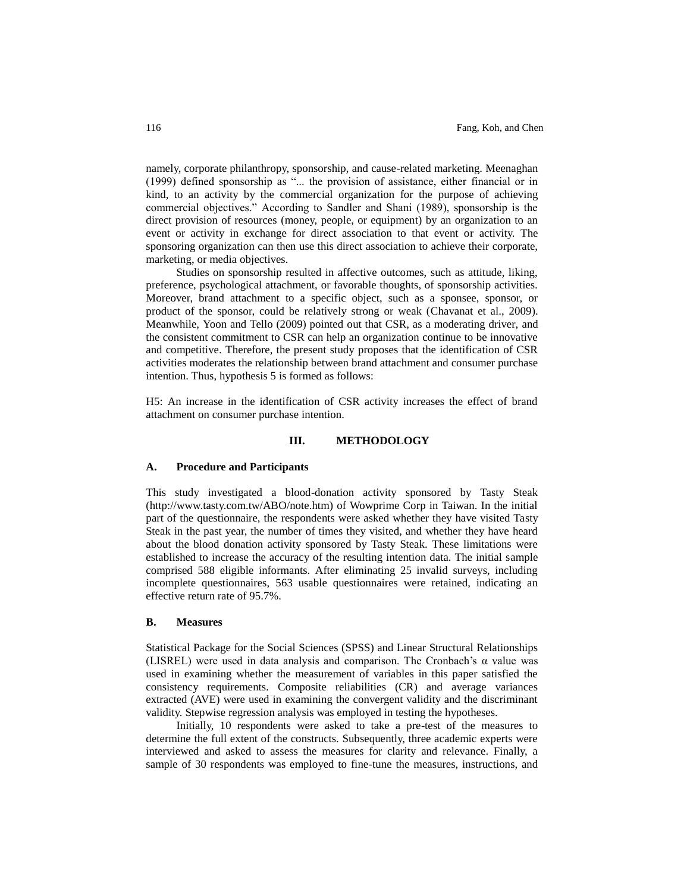namely, corporate philanthropy, sponsorship, and cause-related marketing. Meenaghan (1999) defined sponsorship as "... the provision of assistance, either financial or in kind, to an activity by the commercial organization for the purpose of achieving commercial objectives." According to Sandler and Shani (1989), sponsorship is the direct provision of resources (money, people, or equipment) by an organization to an event or activity in exchange for direct association to that event or activity. The sponsoring organization can then use this direct association to achieve their corporate, marketing, or media objectives.

Studies on sponsorship resulted in affective outcomes, such as attitude, liking, preference, psychological attachment, or favorable thoughts, of sponsorship activities. Moreover, brand attachment to a specific object, such as a sponsee, sponsor, or product of the sponsor, could be relatively strong or weak (Chavanat et al., 2009). Meanwhile, Yoon and Tello (2009) pointed out that CSR, as a moderating driver, and the consistent commitment to CSR can help an organization continue to be innovative and competitive. Therefore, the present study proposes that the identification of CSR activities moderates the relationship between brand attachment and consumer purchase intention. Thus, hypothesis 5 is formed as follows:

H5: An increase in the identification of CSR activity increases the effect of brand attachment on consumer purchase intention.

## **III. METHODOLOGY**

#### **A. Procedure and Participants**

This study investigated a blood-donation activity sponsored by Tasty Steak (http://www.tasty.com.tw/ABO/note.htm) of Wowprime Corp in Taiwan. In the initial part of the questionnaire, the respondents were asked whether they have visited Tasty Steak in the past year, the number of times they visited, and whether they have heard about the blood donation activity sponsored by Tasty Steak. These limitations were established to increase the accuracy of the resulting intention data. The initial sample comprised 588 eligible informants. After eliminating 25 invalid surveys, including incomplete questionnaires, 563 usable questionnaires were retained, indicating an effective return rate of 95.7%.

#### **B. Measures**

Statistical Package for the Social Sciences (SPSS) and Linear Structural Relationships (LISREL) were used in data analysis and comparison. The Cronbach's  $\alpha$  value was used in examining whether the measurement of variables in this paper satisfied the consistency requirements. Composite reliabilities (CR) and average variances extracted (AVE) were used in examining the convergent validity and the discriminant validity. Stepwise regression analysis was employed in testing the hypotheses.

Initially, 10 respondents were asked to take a pre-test of the measures to determine the full extent of the constructs. Subsequently, three academic experts were interviewed and asked to assess the measures for clarity and relevance. Finally, a sample of 30 respondents was employed to fine-tune the measures, instructions, and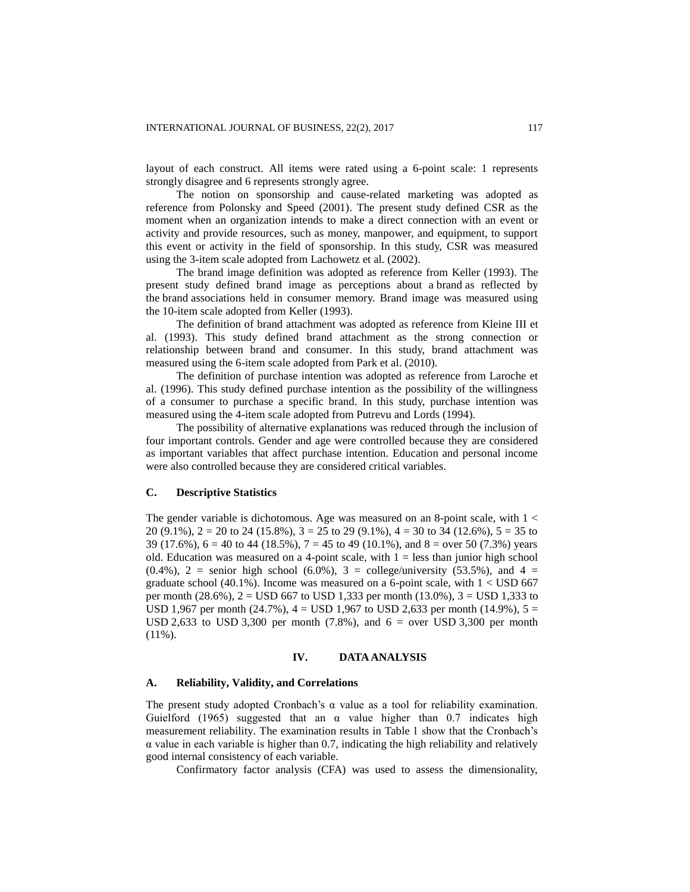layout of each construct. All items were rated using a 6-point scale: 1 represents strongly disagree and 6 represents strongly agree.

The notion on sponsorship and cause-related marketing was adopted as reference from Polonsky and Speed (2001). The present study defined CSR as the moment when an organization intends to make a direct connection with an event or activity and provide resources, such as money, manpower, and equipment, to support this event or activity in the field of sponsorship. In this study, CSR was measured using the 3-item scale adopted from Lachowetz et al. (2002).

The brand image definition was adopted as reference from Keller (1993). The present study defined brand image as perceptions about a brand as reflected by the brand associations held in consumer memory. Brand image was measured using the 10-item scale adopted from Keller (1993).

The definition of brand attachment was adopted as reference from Kleine III et al. (1993). This study defined brand attachment as the strong connection or relationship between brand and consumer. In this study, brand attachment was measured using the 6-item scale adopted from Park et al. (2010).

The definition of purchase intention was adopted as reference from Laroche et al. (1996). This study defined purchase intention as the possibility of the willingness of a consumer to purchase a specific brand. In this study, purchase intention was measured using the 4-item scale adopted from Putrevu and Lords (1994).

The possibility of alternative explanations was reduced through the inclusion of four important controls. Gender and age were controlled because they are considered as important variables that affect purchase intention. Education and personal income were also controlled because they are considered critical variables.

#### **C. Descriptive Statistics**

The gender variable is dichotomous. Age was measured on an 8-point scale, with 1 < 20 (9.1%),  $2 = 20$  to 24 (15.8%),  $3 = 25$  to 29 (9.1%),  $4 = 30$  to 34 (12.6%),  $5 = 35$  to 39 (17.6%),  $6 = 40$  to 44 (18.5%),  $7 = 45$  to 49 (10.1%), and  $8 =$  over 50 (7.3%) years old. Education was measured on a 4-point scale, with  $1 =$  less than junior high school  $(0.4\%)$ , 2 = senior high school  $(6.0\%)$ , 3 = college/university  $(53.5\%)$ , and 4 = graduate school (40.1%). Income was measured on a 6-point scale, with  $1 <$  USD 667 per month  $(28.6\%)$ ,  $2 =$  USD 667 to USD 1,333 per month  $(13.0\%)$ ,  $3 =$  USD 1,333 to USD 1,967 per month (24.7%),  $4 =$  USD 1,967 to USD 2,633 per month (14.9%),  $5 =$ USD 2,633 to USD 3,300 per month  $(7.8\%)$ , and  $6 =$  over USD 3,300 per month  $(11\%)$ .

## **IV. DATA ANALYSIS**

#### **A. Reliability, Validity, and Correlations**

The present study adopted Cronbach's α value as a tool for reliability examination. Guielford (1965) suggested that an  $\alpha$  value higher than 0.7 indicates high measurement reliability. The examination results in Table 1 show that the Cronbach's  $\alpha$  value in each variable is higher than 0.7, indicating the high reliability and relatively good internal consistency of each variable.

Confirmatory factor analysis (CFA) was used to assess the dimensionality,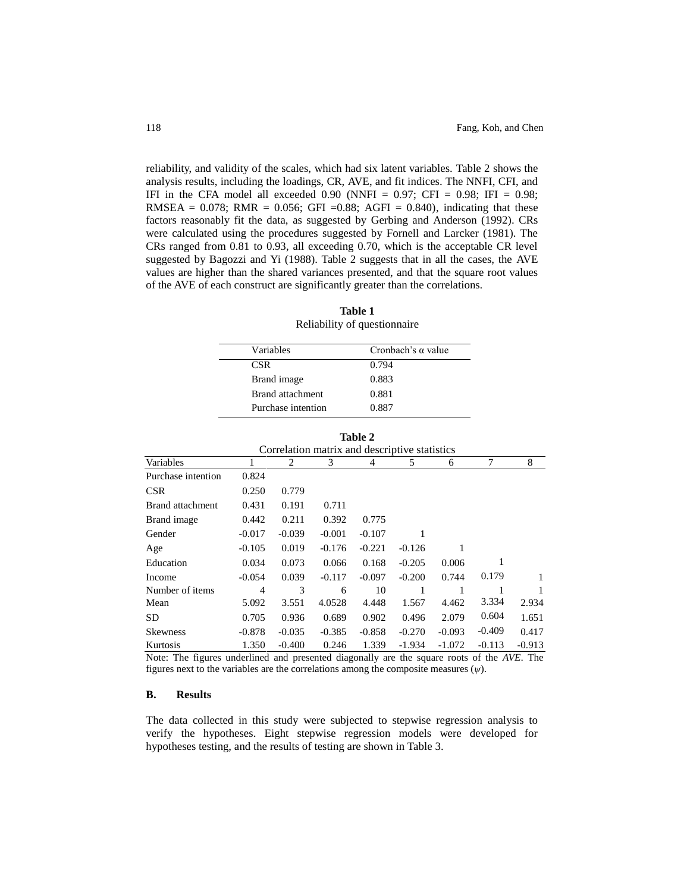reliability, and validity of the scales, which had six latent variables. Table 2 shows the analysis results, including the loadings, CR, AVE, and fit indices. The NNFI, CFI, and IFI in the CFA model all exceeded 0.90 (NNFI =  $0.97$ ; CFI =  $0.98$ ; IFI =  $0.98$ ; RMSEA =  $0.078$ ; RMR =  $0.056$ ; GFI = 0.88; AGFI = 0.840), indicating that these factors reasonably fit the data, as suggested by Gerbing and Anderson (1992). CRs were calculated using the procedures suggested by Fornell and Larcker (1981). The CRs ranged from 0.81 to 0.93, all exceeding 0.70, which is the acceptable CR level suggested by Bagozzi and Yi (1988). Table 2 suggests that in all the cases, the AVE values are higher than the shared variances presented, and that the square root values of the AVE of each construct are significantly greater than the correlations.

| Variables          | Cronbach's $\alpha$ value |
|--------------------|---------------------------|
| CSR.               | 0.794                     |
| Brand image        | 0.883                     |
| Brand attachment   | 0.881                     |
| Purchase intention | 0.887                     |

**Table 1** Reliability of questionnaire

| Variables          | Cronbach's $\alpha$ value |
|--------------------|---------------------------|
| <b>CSR</b>         | 0.794                     |
| Brand image        | 0.883                     |
| Brand attachment   | 0.881                     |
| Purchase intention | 0.887                     |

**Table 2**

|                                               |          |          |          | тани 4   |          |          |          |          |
|-----------------------------------------------|----------|----------|----------|----------|----------|----------|----------|----------|
| Correlation matrix and descriptive statistics |          |          |          |          |          |          |          |          |
| Variables                                     | 1        | 2        | 3        | 4        | 5        | 6        | 7        | 8        |
| Purchase intention                            | 0.824    |          |          |          |          |          |          |          |
| <b>CSR</b>                                    | 0.250    | 0.779    |          |          |          |          |          |          |
| <b>Brand attachment</b>                       | 0.431    | 0.191    | 0.711    |          |          |          |          |          |
| Brand image                                   | 0.442    | 0.211    | 0.392    | 0.775    |          |          |          |          |
| Gender                                        | $-0.017$ | $-0.039$ | $-0.001$ | $-0.107$ |          |          |          |          |
| Age                                           | $-0.105$ | 0.019    | $-0.176$ | $-0.221$ | $-0.126$ |          |          |          |
| Education                                     | 0.034    | 0.073    | 0.066    | 0.168    | $-0.205$ | 0.006    | 1        |          |
| Income                                        | $-0.054$ | 0.039    | $-0.117$ | $-0.097$ | $-0.200$ | 0.744    | 0.179    | 1        |
| Number of items                               | 4        | 3        | 6        | 10       | 1        |          | 1        | 1        |
| Mean                                          | 5.092    | 3.551    | 4.0528   | 4.448    | 1.567    | 4.462    | 3.334    | 2.934    |
| SD.                                           | 0.705    | 0.936    | 0.689    | 0.902    | 0.496    | 2.079    | 0.604    | 1.651    |
| <b>Skewness</b>                               | $-0.878$ | $-0.035$ | $-0.385$ | $-0.858$ | $-0.270$ | $-0.093$ | $-0.409$ | 0.417    |
| Kurtosis                                      | 1.350    | $-0.400$ | 0.246    | 1.339    | $-1.934$ | $-1.072$ | $-0.113$ | $-0.913$ |

Note: The figures underlined and presented diagonally are the square roots of the *AVE*. The figures next to the variables are the correlations among the composite measures (*ψ*).

# **B. Results**

The data collected in this study were subjected to stepwise regression analysis to verify the hypotheses. Eight stepwise regression models were developed for hypotheses testing, and the results of testing are shown in Table 3.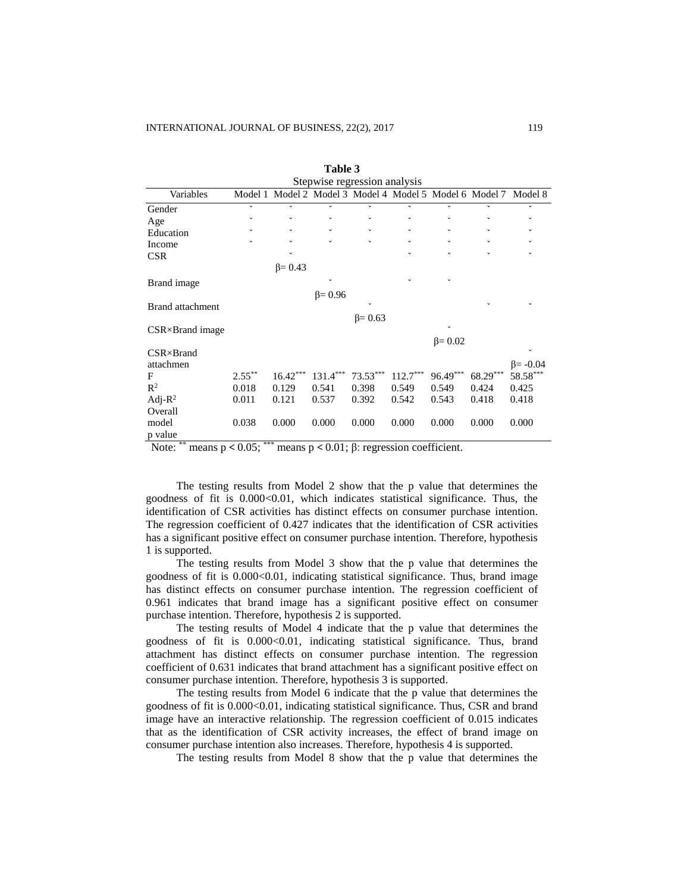| Stepwise regression analysis |              |                |                                                 |                |              |                |              |                 |
|------------------------------|--------------|----------------|-------------------------------------------------|----------------|--------------|----------------|--------------|-----------------|
| Variables                    | Model 1      |                | Model 2 Model 3 Model 4 Model 5 Model 6 Model 7 |                |              |                |              | Model 8         |
| Gender                       | $\check{ }$  | $\checkmark$   | $\checkmark$                                    | $\checkmark$   | $\checkmark$ | $\checkmark$   | v            |                 |
| Age                          | $\checkmark$ | $\checkmark$   | $\checkmark$                                    | $\checkmark$   | $\checkmark$ | $\checkmark$   | ◡            |                 |
| Education                    |              | $\checkmark$   | $\checkmark$                                    | $\check{~}$    |              | $\checkmark$   | $\checkmark$ |                 |
| Income                       | $\checkmark$ | $\checkmark$   | $\checkmark$                                    | $\checkmark$   | $\checkmark$ | $\checkmark$   | $\checkmark$ |                 |
| <b>CSR</b>                   |              |                |                                                 |                |              |                |              |                 |
|                              |              | $\beta = 0.43$ |                                                 |                |              |                |              |                 |
| Brand image                  |              |                | $\checkmark$                                    |                |              |                |              |                 |
|                              |              |                | $\beta = 0.96$                                  |                |              |                |              |                 |
| <b>Brand attachment</b>      |              |                |                                                 | $\checkmark$   |              |                |              |                 |
|                              |              |                |                                                 | $\beta = 0.63$ |              |                |              |                 |
| $CSR \times Brand\ image$    |              |                |                                                 |                |              |                |              |                 |
|                              |              |                |                                                 |                |              | $\beta = 0.02$ |              |                 |
| $CSR \times Brand$           |              |                |                                                 |                |              |                |              |                 |
| attachmen                    |              |                |                                                 |                |              |                |              | $\beta = -0.04$ |
| F                            | $2.55***$    | $16.42***$     | $131.4***$                                      | $73.53***$     | $112.7***$   | $96.49***$     | $68.29***$   | $58.58***$      |
| $\mathbb{R}^2$               | 0.018        | 0.129          | 0.541                                           | 0.398          | 0.549        | 0.549          | 0.424        | 0.425           |
| Adj- $R^2$                   | 0.011        | 0.121          | 0.537                                           | 0.392          | 0.542        | 0.543          | 0.418        | 0.418           |
| Overall                      |              |                |                                                 |                |              |                |              |                 |
| model                        | 0.038        | 0.000          | 0.000                                           | 0.000          | 0.000        | 0.000          | 0.000        | 0.000           |
| p value                      |              |                |                                                 |                |              |                |              |                 |

| Table 3 |  |
|---------|--|
|         |  |

Note: \*\* means  $p < 0.05$ ; \*\*\* means  $p < 0.01$ ; β: regression coefficient.

The testing results from Model 2 show that the p value that determines the goodness of fit is  $0.000<0.01$ , which indicates statistical significance. Thus, the identification of CSR activities has distinct effects on consumer purchase intention. The regression coefficient of 0.427 indicates that the identification of CSR activities has a significant positive effect on consumer purchase intention. Therefore, hypothesis 1 is supported.

The testing results from Model 3 show that the p value that determines the goodness of fit is 0.000<0.01, indicating statistical significance. Thus, brand image has distinct effects on consumer purchase intention. The regression coefficient of 0.961 indicates that brand image has a significant positive effect on consumer purchase intention. Therefore, hypothesis 2 is supported.

The testing results of Model 4 indicate that the p value that determines the goodness of fit is 0.000<0.01, indicating statistical significance. Thus, brand attachment has distinct effects on consumer purchase intention. The regression coefficient of 0.631 indicates that brand attachment has a significant positive effect on consumer purchase intention. Therefore, hypothesis 3 is supported.

The testing results from Model 6 indicate that the p value that determines the goodness of fit is 0.000<0.01, indicating statistical significance. Thus, CSR and brand image have an interactive relationship. The regression coefficient of 0.015 indicates that as the identification of CSR activity increases, the effect of brand image on consumer purchase intention also increases. Therefore, hypothesis 4 is supported.

The testing results from Model 8 show that the p value that determines the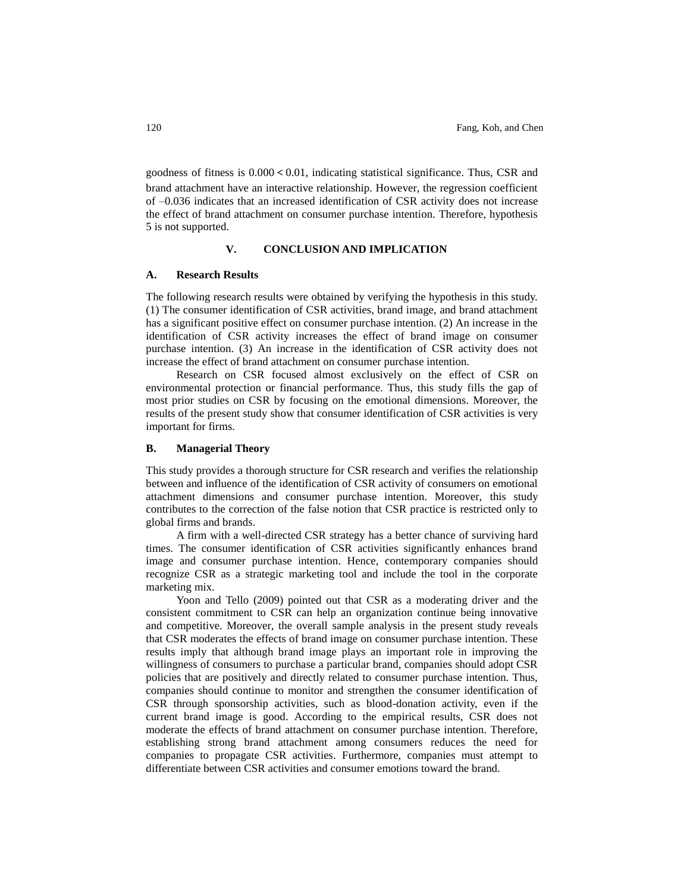goodness of fitness is  $0.000 \le 0.01$ , indicating statistical significance. Thus, CSR and brand attachment have an interactive relationship. However, the regression coefficient of –0.036 indicates that an increased identification of CSR activity does not increase the effect of brand attachment on consumer purchase intention. Therefore, hypothesis 5 is not supported.

## **V. CONCLUSION AND IMPLICATION**

#### **A. Research Results**

The following research results were obtained by verifying the hypothesis in this study. (1) The consumer identification of CSR activities, brand image, and brand attachment has a significant positive effect on consumer purchase intention. (2) An increase in the identification of CSR activity increases the effect of brand image on consumer purchase intention. (3) An increase in the identification of CSR activity does not increase the effect of brand attachment on consumer purchase intention.

Research on CSR focused almost exclusively on the effect of CSR on environmental protection or financial performance. Thus, this study fills the gap of most prior studies on CSR by focusing on the emotional dimensions. Moreover, the results of the present study show that consumer identification of CSR activities is very important for firms.

## **B. Managerial Theory**

This study provides a thorough structure for CSR research and verifies the relationship between and influence of the identification of CSR activity of consumers on emotional attachment dimensions and consumer purchase intention. Moreover, this study contributes to the correction of the false notion that CSR practice is restricted only to global firms and brands.

A firm with a well-directed CSR strategy has a better chance of surviving hard times. The consumer identification of CSR activities significantly enhances brand image and consumer purchase intention. Hence, contemporary companies should recognize CSR as a strategic marketing tool and include the tool in the corporate marketing mix.

Yoon and Tello (2009) pointed out that CSR as a moderating driver and the consistent commitment to CSR can help an organization continue being innovative and competitive. Moreover, the overall sample analysis in the present study reveals that CSR moderates the effects of brand image on consumer purchase intention. These results imply that although brand image plays an important role in improving the willingness of consumers to purchase a particular brand, companies should adopt CSR policies that are positively and directly related to consumer purchase intention. Thus, companies should continue to monitor and strengthen the consumer identification of CSR through sponsorship activities, such as blood-donation activity, even if the current brand image is good. According to the empirical results, CSR does not moderate the effects of brand attachment on consumer purchase intention. Therefore, establishing strong brand attachment among consumers reduces the need for companies to propagate CSR activities. Furthermore, companies must attempt to differentiate [between](http://tw.dictionary.yahoo.com/dictionary?p=differentiate+) CSR activities and consumer emotions toward the brand.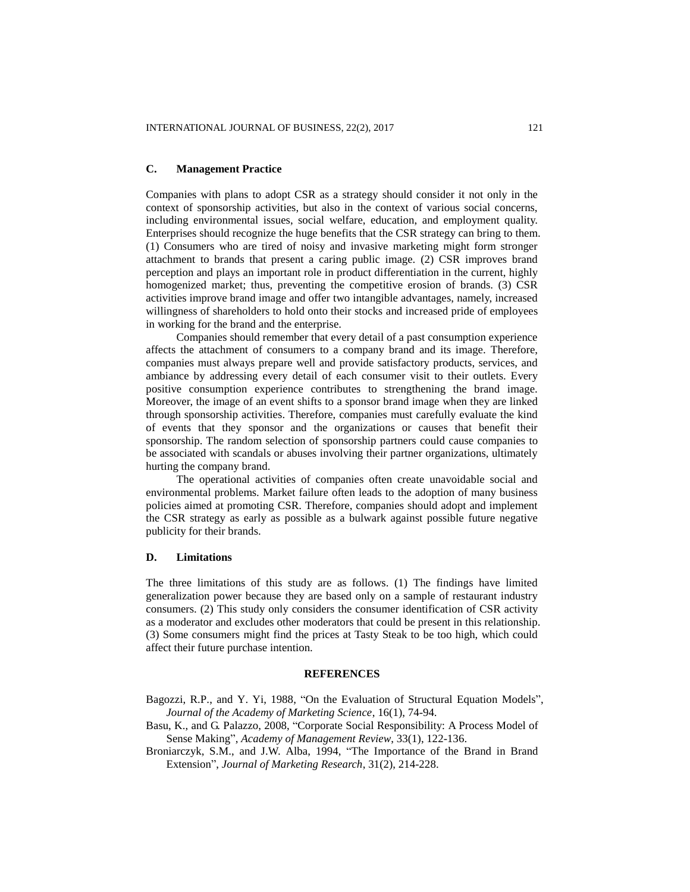#### **C. Management Practice**

Companies with plans to adopt CSR as a strategy should consider it not only in the context of sponsorship activities, but also in the context of various social concerns, including environmental issues, social welfare, education, and employment quality. Enterprises should recognize the huge benefits that the CSR strategy can bring to them. (1) Consumers who are tired of noisy and invasive marketing might form stronger attachment to brands that present a caring public image. (2) CSR improves brand perception and plays an important role in product differentiation in the current, highly homogenized market; thus, preventing the competitive erosion of brands. (3) CSR activities improve brand image and offer two intangible advantages, namely, increased willingness of shareholders to hold onto their stocks and increased pride of employees in working for the brand and the enterprise.

Companies should remember that every detail of a past consumption experience affects the attachment of consumers to a company brand and its image. Therefore, companies must always prepare well and provide satisfactory products, services, and ambiance by addressing every detail of each consumer visit to their outlets. Every positive consumption experience contributes to strengthening the brand image. Moreover, the image of an event shifts to a sponsor brand image when they are linked through sponsorship activities. Therefore, companies must carefully evaluate the kind of events that they sponsor and the organizations or causes that benefit their sponsorship. The random selection of sponsorship partners could cause companies to be associated with scandals or abuses involving their partner organizations, ultimately hurting the company brand.

The operational activities of companies often create unavoidable social and environmental problems. Market failure often leads to the adoption of many business policies aimed at promoting CSR. Therefore, companies should adopt and implement the CSR strategy as early as possible as a bulwark against possible future negative publicity for their brands.

# **D. Limitations**

The three limitations of this study are as follows. (1) The findings have limited generalization power because they are based only on a sample of restaurant industry consumers. (2) This study only considers the consumer identification of CSR activity as a moderator and excludes other moderators that could be present in this relationship. (3) Some consumers might find the prices at Tasty Steak to be too high, which could affect their future purchase intention.

#### **REFERENCES**

- Bagozzi, R.P., and Y. Yi, 1988, "On the Evaluation of Structural Equation Models", *Journal of the Academy of Marketing Science*, 16(1), 74-94.
- Basu, K., and G. Palazzo, 2008, "Corporate Social Responsibility: A Process Model of Sense Making", *Academy of Management Review*, 33(1), 122-136.
- Broniarczyk, S.M., and J.W. Alba, 1994, "The Importance of the Brand in Brand Extension", *Journal of Marketing Research*, 31(2), 214-228.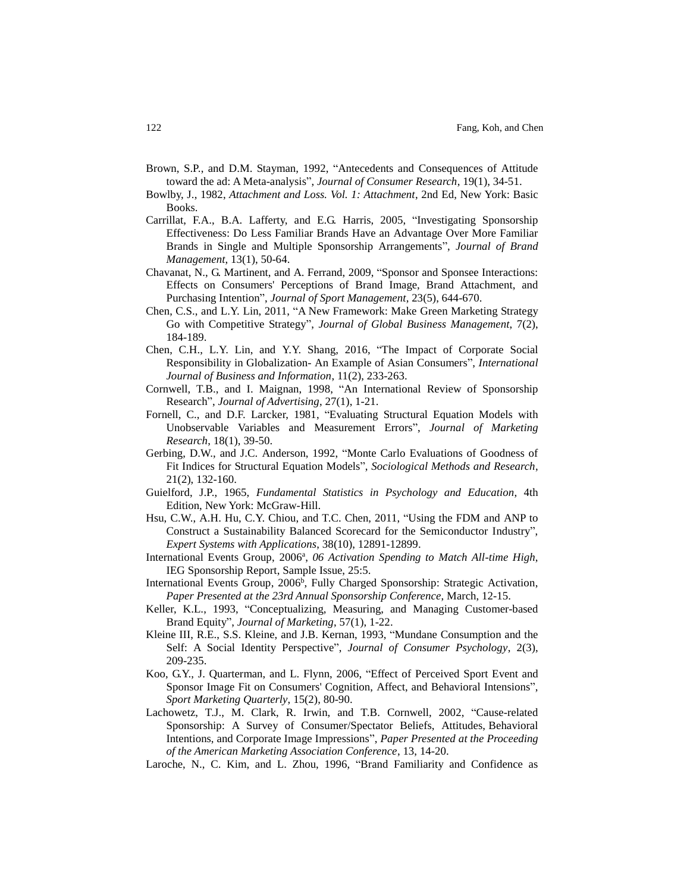- Brown, S.P., and D.M. Stayman, 1992, "Antecedents and Consequences of Attitude toward the ad: A Meta-analysis", *Journal of Consumer Research*, 19(1), 34-51.
- Bowlby, J., 1982, *Attachment and Loss. Vol. 1: Attachment*, 2nd Ed, New York: Basic Books.
- Carrillat, F.A., B.A. Lafferty, and E.G. Harris, 2005, "Investigating Sponsorship Effectiveness: Do Less Familiar Brands Have an Advantage Over More Familiar Brands in Single and Multiple Sponsorship Arrangements", *Journal of Brand Management*, 13(1), 50-64.
- Chavanat, N., G. Martinent, and A. Ferrand, 2009, "Sponsor and Sponsee Interactions: Effects on Consumers' Perceptions of Brand Image, Brand Attachment, and Purchasing Intention", *Journal of Sport Management*, 23(5), 644-670.
- Chen, C.S., and L.Y. Lin, 2011, "A New Framework: Make Green Marketing Strategy Go with Competitive Strategy", *Journal of Global Business Management*, 7(2), 184-189.
- Chen, C.H., L.Y. Lin, and Y.Y. Shang, 2016, "The Impact of Corporate Social Responsibility in Globalization- An Example of Asian Consumers", *International Journal of Business and Information*, 11(2), 233-263.
- Cornwell, T.B., and I. Maignan, 1998, "An International Review of Sponsorship Research", *Journal of Advertising*, 27(1), 1-21.
- Fornell, C., and D.F. Larcker, 1981, "Evaluating Structural Equation Models with Unobservable Variables and Measurement Errors", *Journal of Marketing Research*, 18(1), 39-50.
- Gerbing, D.W., and J.C. Anderson, 1992, "Monte Carlo Evaluations of Goodness of Fit Indices for Structural Equation Models", *Sociological Methods and Research*, 21(2), 132-160.
- Guielford, J.P., 1965, *Fundamental Statistics in Psychology and Education*, 4th Edition, New York: McGraw-Hill.
- Hsu, C.W., A.H. Hu, C.Y. Chiou, and T.C. Chen, 2011, "Using the FDM and ANP to Construct a Sustainability Balanced Scorecard for the Semiconductor Industry", *Expert Systems with Applications*, 38(10), 12891-12899.
- International Events Group, 2006<sup>a</sup>, 06 Activation Spending to Match All-time High, IEG Sponsorship Report, Sample Issue, 25:5.
- International Events Group, 2006<sup>b</sup>, Fully Charged Sponsorship: Strategic Activation, *Paper Presented at the 23rd Annual Sponsorship Conference*, March, 12-15.
- Keller, K.L., 1993, "Conceptualizing, Measuring, and Managing Customer-based Brand Equity", *Journal of Marketing*, 57(1), 1-22.
- Kleine III, R.E., S.S. Kleine, and J.B. Kernan, 1993, "Mundane Consumption and the Self: A Social Identity Perspective", *Journal of Consumer Psychology*, 2(3), 209-235.
- Koo, G.Y., J. Quarterman, and L. Flynn, 2006, "Effect of Perceived Sport Event and Sponsor Image Fit on Consumers' Cognition, Affect, and Behavioral Intensions", *Sport Marketing Quarterly*, 15(2), 80-90.
- Lachowetz, T.J., M. Clark, R. Irwin, and T.B. Cornwell, 2002, "Cause-related Sponsorship: A Survey of Consumer/Spectator Beliefs, Attitudes, Behavioral Intentions, and Corporate Image Impressions", *Paper Presented at the Proceeding of the American Marketing Association Conference*, 13, 14-20.
- Laroche, N., C. Kim, and L. Zhou, 1996, "Brand Familiarity and Confidence as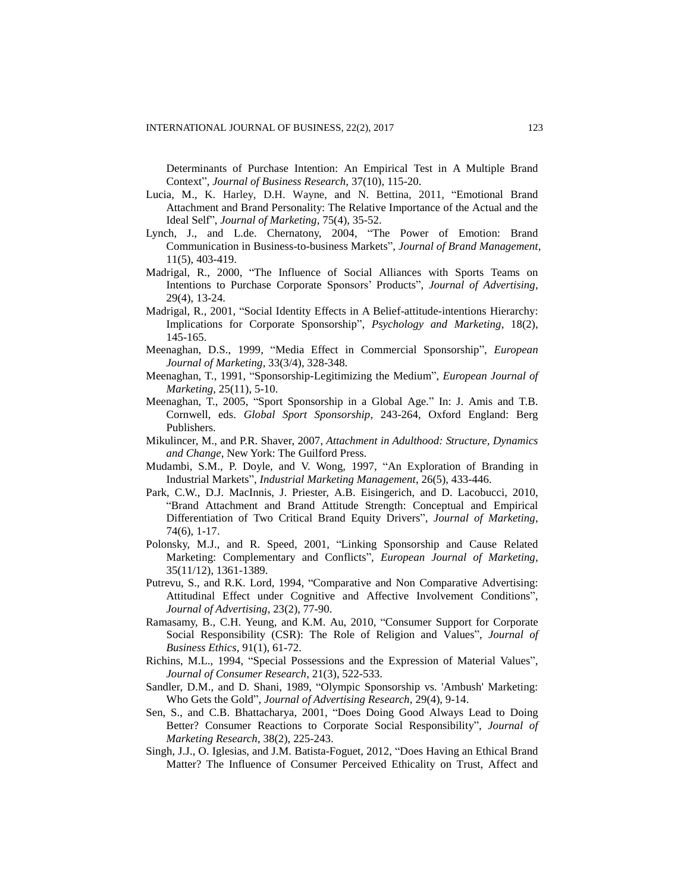Determinants of Purchase Intention: An Empirical Test in A Multiple Brand Context", *Journal of Business Research*, 37(10), 115-20.

- Lucia, M., K. Harley, D.H. Wayne, and N. Bettina, 2011, "Emotional Brand Attachment and Brand Personality: The Relative Importance of the Actual and the Ideal Self", *Journal of Marketing*, 75(4), 35-52.
- Lynch, J., and L.de. Chernatony, 2004, "The Power of Emotion: Brand Communication in Business-to-business Markets", *Journal of Brand Management*, 11(5), 403-419.
- Madrigal, R., 2000, "The Influence of Social Alliances with Sports Teams on Intentions to Purchase Corporate Sponsors' Products", *Journal of Advertising*, 29(4), 13-24.
- Madrigal, R., 2001, "Social Identity Effects in A Belief-attitude-intentions Hierarchy: Implications for Corporate Sponsorship", *Psychology and Marketing*, 18(2), 145-165.
- Meenaghan, D.S., 1999, "Media Effect in Commercial Sponsorship", *European Journal of Marketing*, 33(3/4), 328-348.
- Meenaghan, T., 1991, "Sponsorship-Legitimizing the Medium", *European Journal of Marketing*, 25(11), 5-10.
- Meenaghan, T., 2005, "Sport Sponsorship in a Global Age." In: J. Amis and T.B. Cornwell, eds. *Global Sport Sponsorship*, 243-264, Oxford England: Berg Publishers.
- Mikulincer, M., and P.R. Shaver, 2007, *Attachment in Adulthood: Structure, Dynamics and Change*, New York: The Guilford Press.
- Mudambi, S.M., P. Doyle, and V. Wong, 1997, "An Exploration of Branding in Industrial Markets", *Industrial Marketing Management*, 26(5), 433-446.
- Park, C.W., D.J. MacInnis, J. Priester, A.B. Eisingerich, and D. Lacobucci, 2010, "Brand Attachment and Brand Attitude Strength: Conceptual and Empirical Differentiation of Two Critical Brand Equity Drivers", *Journal of Marketing*, 74(6), 1-17.
- Polonsky, M.J., and R. Speed, 2001, "Linking Sponsorship and Cause Related Marketing: Complementary and Conflicts", *European Journal of Marketing*, 35(11/12), 1361-1389.
- Putrevu, S., and R.K. Lord, 1994, "Comparative and Non Comparative Advertising: Attitudinal Effect under Cognitive and Affective Involvement Conditions", *Journal of Advertising*, 23(2), 77-90.
- Ramasamy, B., C.H. Yeung, and K.M. Au, 2010, "Consumer Support for Corporate Social Responsibility (CSR): The Role of Religion and Values", *Journal of Business Ethics*, 91(1), 61-72.
- Richins, M.L., 1994, "Special Possessions and the Expression of Material Values", *Journal of Consumer Research*, 21(3), 522-533.
- Sandler, D.M., and D. Shani, 1989, "Olympic Sponsorship vs. 'Ambush' Marketing: Who Gets the Gold", *Journal of Advertising Research*, 29(4), 9-14.
- Sen, S., and C.B. Bhattacharya, 2001, "Does Doing Good Always Lead to Doing Better? Consumer Reactions to Corporate Social Responsibility", *Journal of Marketing Research*, 38(2), 225-243.
- Singh, J.J., O. Iglesias, and J.M. Batista-Foguet, 2012, "Does Having an Ethical Brand Matter? The Influence of Consumer Perceived Ethicality on Trust, Affect and